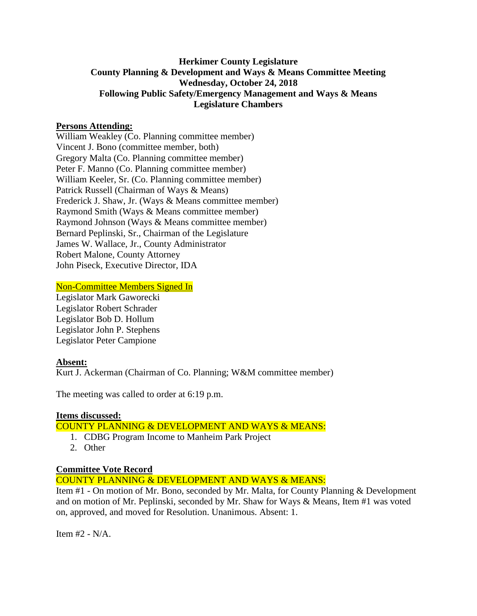# **Herkimer County Legislature County Planning & Development and Ways & Means Committee Meeting Wednesday, October 24, 2018 Following Public Safety/Emergency Management and Ways & Means Legislature Chambers**

## **Persons Attending:**

William Weakley (Co. Planning committee member) Vincent J. Bono (committee member, both) Gregory Malta (Co. Planning committee member) Peter F. Manno (Co. Planning committee member) William Keeler, Sr. (Co. Planning committee member) Patrick Russell (Chairman of Ways & Means) Frederick J. Shaw, Jr. (Ways & Means committee member) Raymond Smith (Ways & Means committee member) Raymond Johnson (Ways & Means committee member) Bernard Peplinski, Sr., Chairman of the Legislature James W. Wallace, Jr., County Administrator Robert Malone, County Attorney John Piseck, Executive Director, IDA

## Non-Committee Members Signed In

Legislator Mark Gaworecki Legislator Robert Schrader Legislator Bob D. Hollum Legislator John P. Stephens Legislator Peter Campione

#### **Absent:**

Kurt J. Ackerman (Chairman of Co. Planning; W&M committee member)

The meeting was called to order at 6:19 p.m.

#### **Items discussed:**

COUNTY PLANNING & DEVELOPMENT AND WAYS & MEANS:

- 1. CDBG Program Income to Manheim Park Project
- 2. Other

#### **Committee Vote Record**

COUNTY PLANNING & DEVELOPMENT AND WAYS & MEANS:

Item #1 - On motion of Mr. Bono, seconded by Mr. Malta, for County Planning & Development and on motion of Mr. Peplinski, seconded by Mr. Shaw for Ways & Means, Item #1 was voted on, approved, and moved for Resolution. Unanimous. Absent: 1.

Item #2 - N/A.